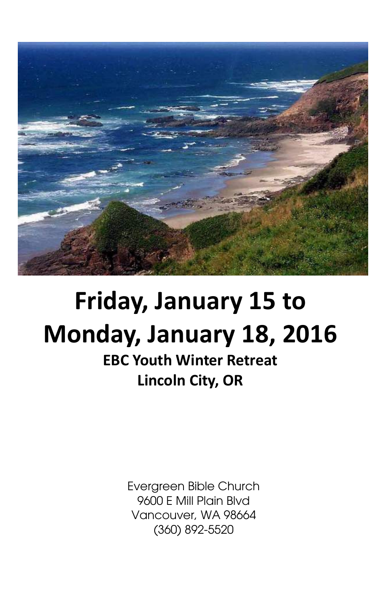

## Friday, January 15 to Monday, January 18, 2016

EBC Youth Winter Retreat Lincoln City, OR

> Evergreen Bible Church 9600 E Mill Plain Blvd Vancouver, WA 98664 (360) 892-5520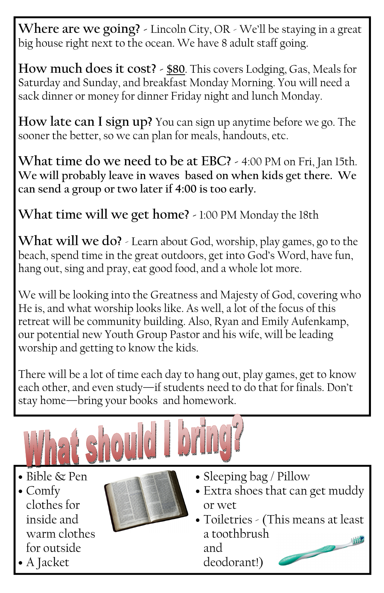Where are we going? - Lincoln City, OR - We'll be staying in a great big house right next to the ocean. We have 8 adult staff going.

How much does it cost? - \$80. This covers Lodging, Gas, Meals for Saturday and Sunday, and breakfast Monday Morning. You will need a sack dinner or money for dinner Friday night and lunch Monday.

How late can I sign up? You can sign up anytime before we go. The sooner the better, so we can plan for meals, handouts, etc.

What time do we need to be at EBC? - 4:00 PM on Fri, Jan 15th. We will probably leave in waves based on when kids get there. We can send a group or two later if 4:00 is too early.

What time will we get home? - 1:00 PM Monday the 18th

What will we do? - Learn about God, worship, play games, go to the beach, spend time in the great outdoors, get into God's Word, have fun, hang out, sing and pray, eat good food, and a whole lot more.

We will be looking into the Greatness and Majesty of God, covering who He is, and what worship looks like. As well, a lot of the focus of this retreat will be community building. Also, Ryan and Emily Aufenkamp, our potential new Youth Group Pastor and his wife, will be leading worship and getting to know the kids.

There will be a lot of time each day to hang out, play games, get to know each other, and even study—if students need to do that for finals. Don't stay home—bring your books and homework.